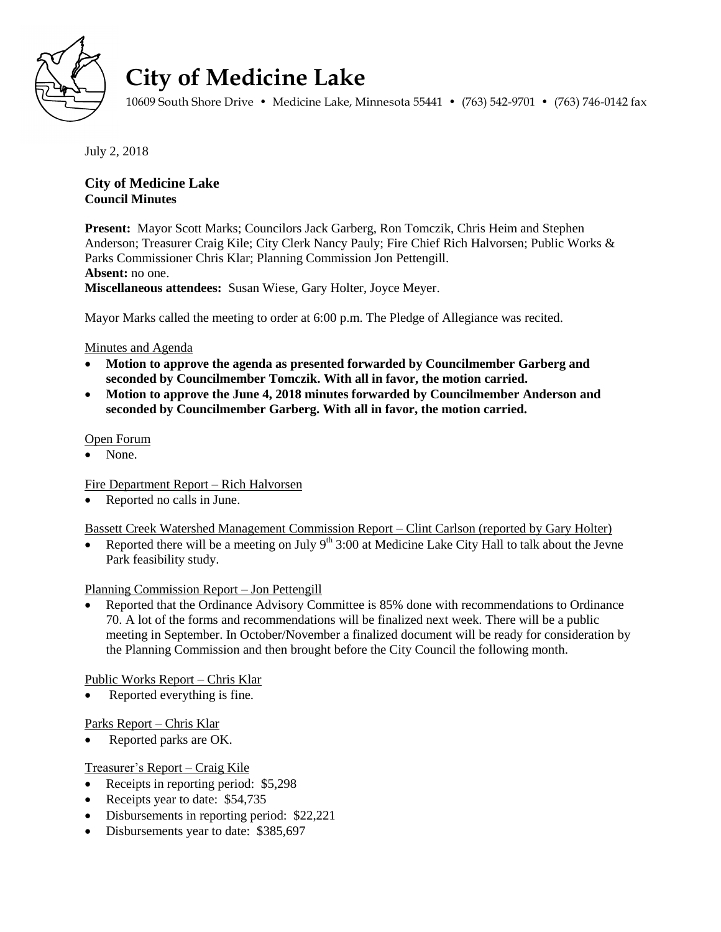

# **City of Medicine Lake**

10609 South Shore Drive • Medicine Lake, Minnesota 55441 • (763) 542-9701 • (763) 746-0142 fax

July 2, 2018

# **City of Medicine Lake Council Minutes**

**Present:** Mayor Scott Marks; Councilors Jack Garberg, Ron Tomczik, Chris Heim and Stephen Anderson; Treasurer Craig Kile; City Clerk Nancy Pauly; Fire Chief Rich Halvorsen; Public Works & Parks Commissioner Chris Klar; Planning Commission Jon Pettengill. **Absent:** no one. **Miscellaneous attendees:** Susan Wiese, Gary Holter, Joyce Meyer.

Mayor Marks called the meeting to order at 6:00 p.m. The Pledge of Allegiance was recited.

## Minutes and Agenda

- **Motion to approve the agenda as presented forwarded by Councilmember Garberg and seconded by Councilmember Tomczik. With all in favor, the motion carried.**
- **Motion to approve the June 4, 2018 minutes forwarded by Councilmember Anderson and seconded by Councilmember Garberg. With all in favor, the motion carried.**

## Open Forum

None.

Fire Department Report – Rich Halvorsen

Reported no calls in June.

Bassett Creek Watershed Management Commission Report – Clint Carlson (reported by Gary Holter)

Reported there will be a meeting on July  $9<sup>th</sup> 3:00$  at Medicine Lake City Hall to talk about the Jevne Park feasibility study.

## Planning Commission Report – Jon Pettengill

 Reported that the Ordinance Advisory Committee is 85% done with recommendations to Ordinance 70. A lot of the forms and recommendations will be finalized next week. There will be a public meeting in September. In October/November a finalized document will be ready for consideration by the Planning Commission and then brought before the City Council the following month.

Public Works Report – Chris Klar

Reported everything is fine.

Parks Report – Chris Klar

Reported parks are OK.

## Treasurer's Report – Craig Kile

- Receipts in reporting period: \$5,298
- Receipts year to date: \$54,735
- Disbursements in reporting period: \$22,221
- Disbursements year to date: \$385,697